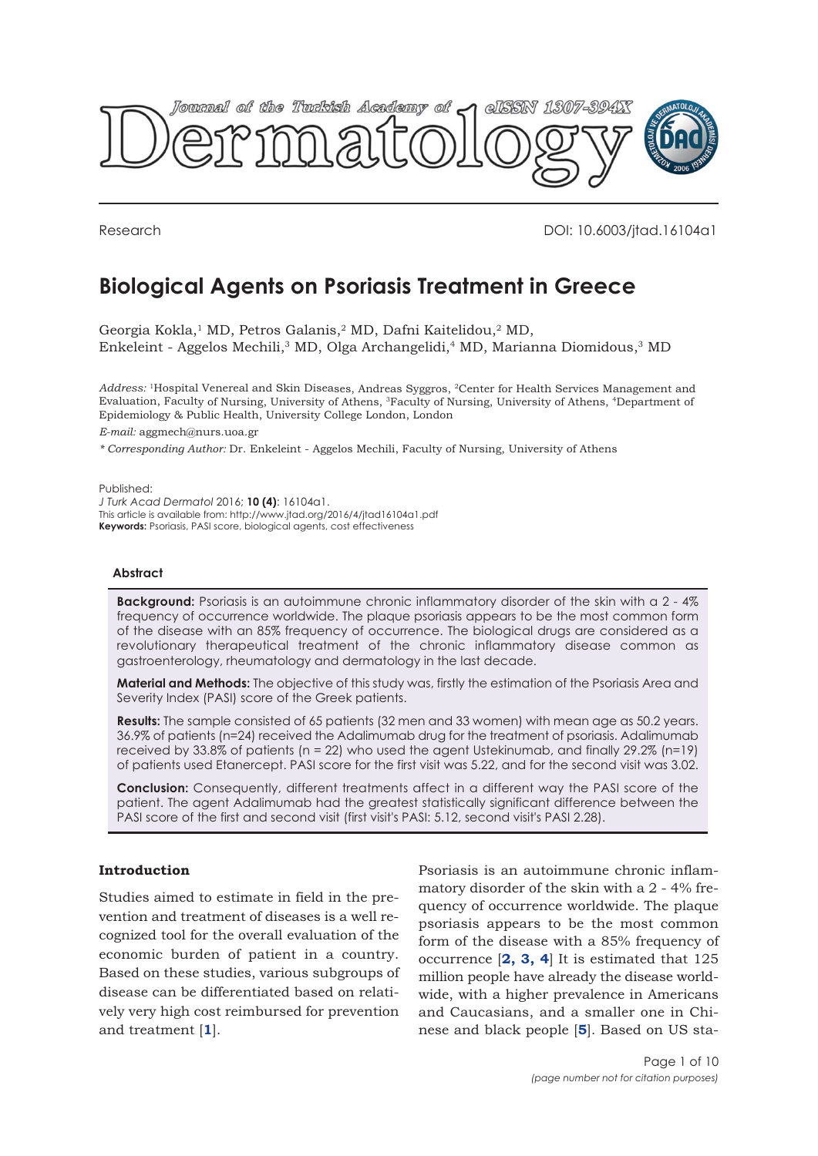

Research DOI: 10.6003/jtad.16104a1

# **Biological Agents on Psoriasis Treatment in Greece**

Georgia Kokla,<sup>1</sup> MD, Petros Galanis,<sup>2</sup> MD, Dafni Kaitelidou,<sup>2</sup> MD, Enkeleint - Aggelos Mechili,<sup>3</sup> MD, Olga Archangelidi,<sup>4</sup> MD, Marianna Diomidous,<sup>3</sup> MD

*Address:* <sup>1</sup>Hospital Venereal and Skin Diseases, Andreas Syggros, <sup>2</sup>Center for Health Services Management and Evaluation, Faculty of Nursing, University of Athens, <sup>3</sup>Faculty of Nursing, University of Athens, <sup>4</sup>Department of Epidemiology & Public Health, University College London, London

*E-mail:* aggmech@nurs.uoa.gr

*\* Corresponding Author:* Dr. Enkeleint - Aggelos Mechili, Faculty of Nursing, University of Athens

Published: *J Turk Acad Dermatol* 2016; **10 (4)**: 16104a1. This article is available from: http://www.jtad.org/2016/4/jtad16104a1.pdf **Keywords:** Psoriasis, PASI score, biological agents, cost effectiveness

## **Abstract**

**Background:** Psoriasis is an autoimmune chronic inflammatory disorder of the skin with a 2 - 4% frequency of occurrence worldwide. The plaque psoriasis appears to be the most common form of the disease with an 85% frequency of occurrence. The biological drugs are considered as a revolutionary therapeutical treatment of the chronic inflammatory disease common as gastroenterology, rheumatology and dermatology in the last decade.

**Material and Methods:** The objective of this study was, firstly the estimation of the Psoriasis Area and Severity Index (PASI) score of the Greek patients.

**Results:** The sample consisted of 65 patients (32 men and 33 women) with mean age as 50.2 years. 36.9% of patients (n=24) received the Adalimumab drug for the treatment of psoriasis. Adalimumab received by 33.8% of patients (n = 22) who used the agent Ustekinumab, and finally 29.2% (n=19) of patients used Etanercept. PASI score for the first visit was 5.22, and for the second visit was 3.02.

**Conclusion:** Consequently, different treatments affect in a different way the PASI score of the patient. The agent Adalimumab had the greatest statistically significant difference between the PASI score of the first and second visit (first visit's PASI: 5.12, second visit's PASI 2.28).

# **Introduction**

Studies aimed to estimate in field in the prevention and treatment of diseases is a well recognized tool for the overall evaluation of the economic burden of patient in a country. Based on these studies, various subgroups of disease can be differentiated based on relatively very high cost reimbursed for prevention and treatment [**[1](#page-8-0)**].

Psoriasis is an autoimmune chronic inflammatory disorder of the skin with a 2 - 4% frequency of occurrence worldwide. The plaque psoriasis appears to be the most common form of the disease with a 85% frequency of occurrence [**[2,](#page-8-0) [3,](#page-8-0) [4](#page-8-0)**] It is estimated that 125 million people have already the disease worldwide, with a higher prevalence in Americans and Caucasians, and a smaller one in Chinese and black people [**[5](#page-8-0)**]. Based on US sta-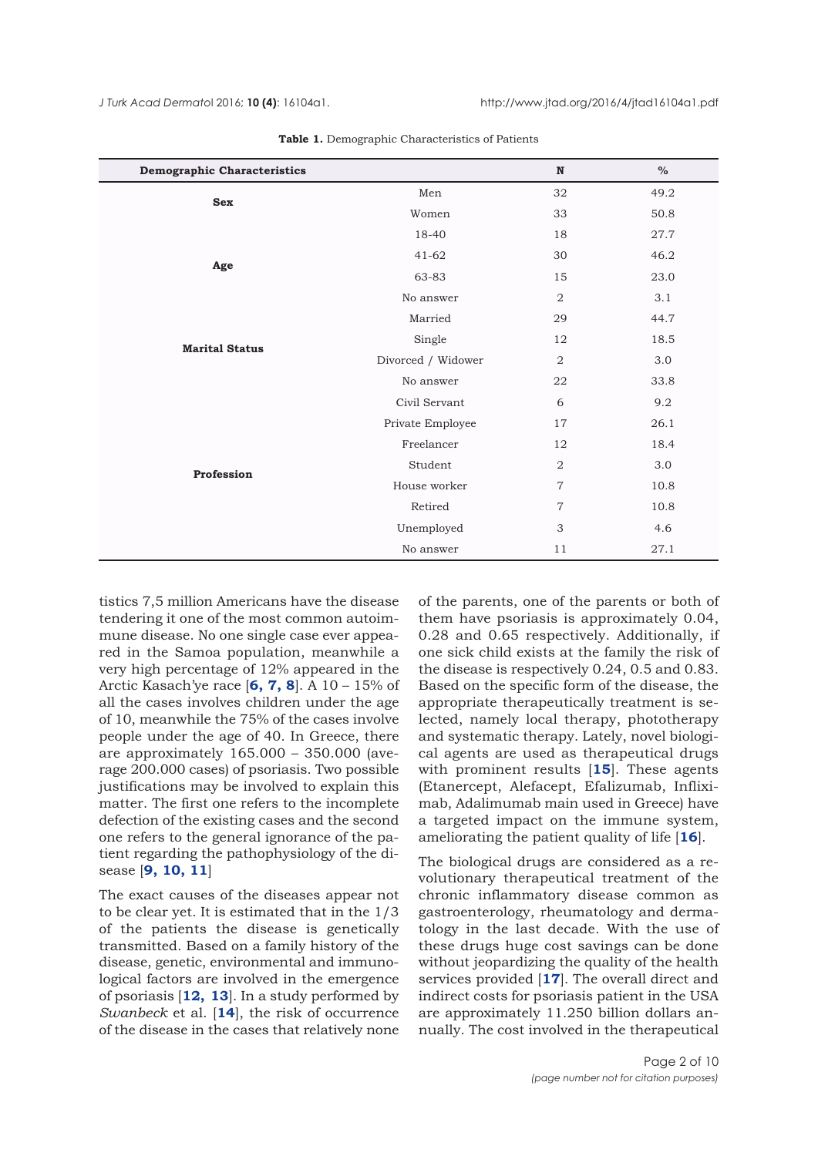<span id="page-1-0"></span>

| <b>Demographic Characteristics</b> |                    | $\mathbf N$    | $\%$ |
|------------------------------------|--------------------|----------------|------|
| <b>Sex</b>                         | Men                | 32             | 49.2 |
|                                    | Women              | 33             | 50.8 |
|                                    | 18-40              | 18             | 27.7 |
| Age                                | $41 - 62$          | 30             | 46.2 |
|                                    | 63-83              | 15             | 23.0 |
|                                    | No answer          | $\overline{2}$ | 3.1  |
| <b>Marital Status</b>              | Married            | 29             | 44.7 |
|                                    | Single             | 12             | 18.5 |
|                                    | Divorced / Widower | 2              | 3.0  |
|                                    | No answer          | 22             | 33.8 |
| Profession                         | Civil Servant      | 6              | 9.2  |
|                                    | Private Employee   | 17             | 26.1 |
|                                    | Freelancer         | 12             | 18.4 |
|                                    | Student            | 2              | 3.0  |
|                                    | House worker       | $\overline{7}$ | 10.8 |
|                                    | Retired            | $\overline{7}$ | 10.8 |
|                                    | Unemployed         | 3              | 4.6  |
|                                    | No answer          | 11             | 27.1 |

**Table 1.** Demographic Characteristics of Patients

tistics 7,5 million Americans have the disease tendering it one of the most common autoimmune disease. No one single case ever appeared in the Samoa population, meanwhile a very high percentage of 12% appeared in the Arctic Kasach'ye race [**[6, 7, 8](#page-8-0)**]. A 10 – 15% of all the cases involves children under the age of 10, meanwhile the 75% of the cases involve people under the age of 40. In Greece, there are approximately 165.000 – 350.000 (average 200.000 cases) of psoriasis. Two possible justifications may be involved to explain this matter. The first one refers to the incomplete defection of the existing cases and the second one refers to the general ignorance of the patient regarding the pathophysiology of the disease [**[9, 10, 11](#page-8-0)**]

The exact causes of the diseases appear not to be clear yet. It is estimated that in the 1/3 of the patients the disease is genetically transmitted. Based on a family history of the disease, genetic, environmental and immunological factors are involved in the emergence of psoriasis [**[12,](#page-8-0) [13](#page-8-0)**]. In a study performed by *Swanbeck* et al. [**[14](#page-8-0)**], the risk of occurrence of the disease in the cases that relatively none

of the parents, one of the parents or both of them have psoriasis is approximately 0.04, 0.28 and 0.65 respectively. Additionally, if one sick child exists at the family the risk of the disease is respectively 0.24, 0.5 and 0.83. Based on the specific form of the disease, the appropriate therapeutically treatment is selected, namely local therapy, phototherapy and systematic therapy. Lately, novel biological agents are used as therapeutical drugs with prominent results [**[15](#page-8-0)**]. These agents (Etanercept, Alefacept, Efalizumab, Infliximab, Adalimumab main used in Greece) have a targeted impact on the immune system, ameliorating the patient quality of life [**[16](#page-8-0)**].

The biological drugs are considered as a revolutionary therapeutical treatment of the chronic inflammatory disease common as gastroenterology, rheumatology and dermatology in the last decade. With the use of these drugs huge cost savings can be done without jeopardizing the quality of the health services provided [**[17](#page-8-0)**]. The overall direct and indirect costs for psoriasis patient in the USA are approximately 11.250 billion dollars annually. The cost involved in the therapeutical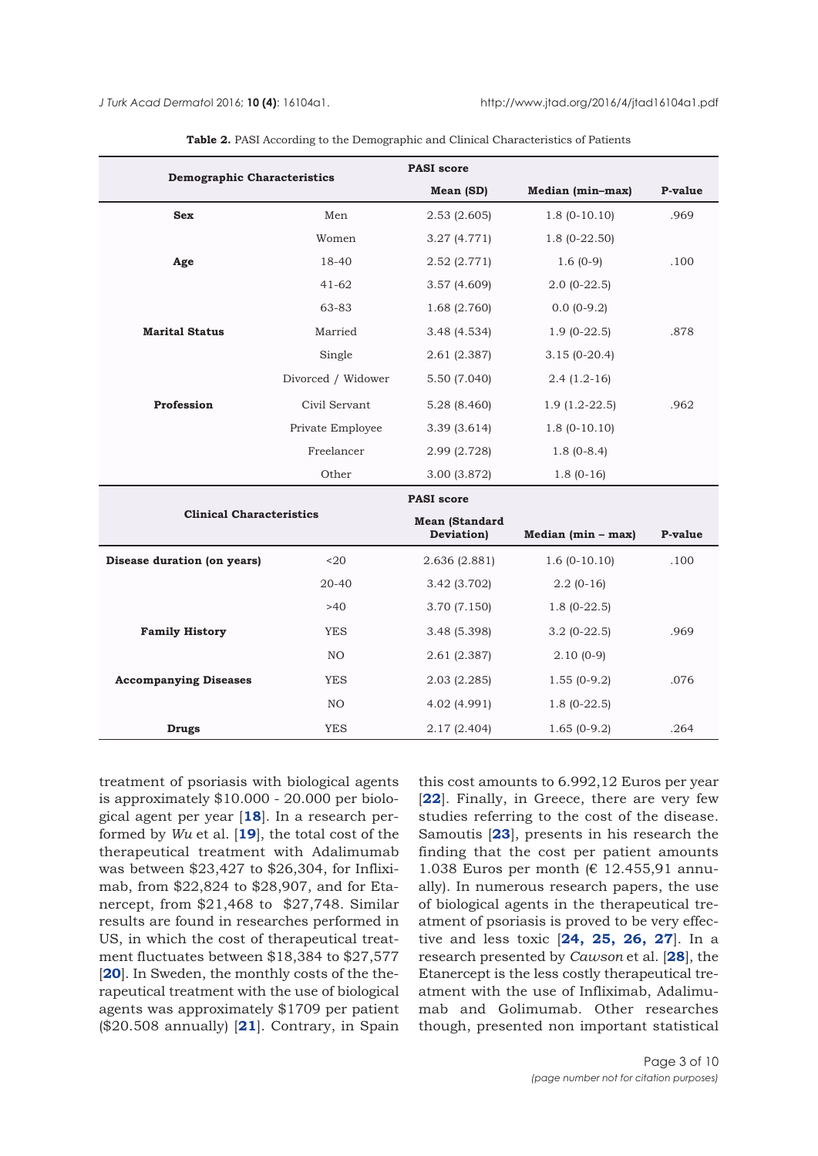<span id="page-2-0"></span>

| <b>Demographic Characteristics</b> |                    | <b>PASI</b> score                   |                      |         |  |
|------------------------------------|--------------------|-------------------------------------|----------------------|---------|--|
|                                    |                    | Mean (SD)                           | Median (min-max)     | P-value |  |
| <b>Sex</b>                         | Men                | 2.53(2.605)                         | $1.8(0-10.10)$       | .969    |  |
|                                    | Women              | 3.27 (4.771)                        | $1.8(0-22.50)$       |         |  |
| Age                                | 18-40              | 2.52 (2.771)                        | $1.6(0-9)$           | .100    |  |
|                                    | $41 - 62$          | 3.57(4.609)                         | $2.0(0-22.5)$        |         |  |
|                                    | 63-83              | 1.68(2.760)                         | $0.0(0-9.2)$         |         |  |
| <b>Marital Status</b>              | Married            | 3.48 (4.534)                        | $1.9(0-22.5)$        | .878    |  |
|                                    | Single             | 2.61 (2.387)                        | $3.15(0-20.4)$       |         |  |
|                                    | Divorced / Widower | 5.50 (7.040)                        | $2.4(1.2-16)$        |         |  |
| Profession                         | Civil Servant      | 5.28 (8.460)                        | $1.9(1.2-22.5)$      | .962    |  |
|                                    | Private Employee   | 3.39(3.614)                         | $1.8(0-10.10)$       |         |  |
|                                    | Freelancer         | 2.99 (2.728)                        | $1.8(0-8.4)$         |         |  |
|                                    | Other              | 3.00 (3.872)                        | $1.8(0-16)$          |         |  |
|                                    |                    | <b>PASI</b> score                   |                      |         |  |
| <b>Clinical Characteristics</b>    |                    | <b>Mean (Standard</b><br>Deviation) | $Median (min - max)$ | P-value |  |
| Disease duration (on years)        | $20$               |                                     | $1.6(0-10.10)$       | .100    |  |
|                                    |                    | 2.636 (2.881)                       |                      |         |  |
|                                    | 20-40              | 3.42 (3.702)                        | $2.2(0-16)$          |         |  |
|                                    | >40                | 3.70 (7.150)                        | $1.8(0-22.5)$        |         |  |
| <b>Family History</b>              | <b>YES</b>         | 3.48 (5.398)                        | $3.2(0-22.5)$        | .969    |  |
|                                    | NO                 | 2.61 (2.387)                        | $2.10(0-9)$          |         |  |
| <b>Accompanying Diseases</b>       | <b>YES</b>         | 2.03 (2.285)                        | $1.55(0-9.2)$        | .076    |  |
|                                    | NO.                | 4.02 (4.991)                        | $1.8(0-22.5)$        |         |  |
| <b>Drugs</b>                       | <b>YES</b>         | 2.17 (2.404)                        | $1.65(0-9.2)$        | .264    |  |

**Table 2.** PASI According to the Demographic and Clinical Characteristics of Patients

treatment of psoriasis with biological agents is approximately \$10.000 - 20.000 per biological agent per year [**[18](#page-8-0)**]. In a research performed by *Wu* et al. [**[19](#page-8-0)**], the total cost of the therapeutical treatment with Adalimumab was between \$23,427 to \$26,304, for Infliximab, from \$22,824 to \$28,907, and for Etanercept, from \$21,468 to \$27,748. Similar results are found in researches performed in US, in which the cost of therapeutical treatment fluctuates between \$18,384 to \$27,577 [[20](#page-8-0)]. In Sweden, the monthly costs of the therapeutical treatment with the use of biological agents was approximately \$1709 per patient (\$20.508 annually) [**[21](#page-8-0)**]. Contrary, in Spain

this cost amounts to 6.992,12 Euros per year [**[22](#page-8-0)**]. Finally, in Greece, there are very few studies referring to the cost of the disease. Samoutis [**[23](#page-8-0)**], presents in his research the finding that the cost per patient amounts 1.038 Euros per month (€ 12.455,91 annually). In numerous research papers, the use of biological agents in the therapeutical treatment of psoriasis is proved to be very effective and less toxic [**[24,](#page-8-0) [25,](#page-8-0) [26, 27](#page-8-0)**]. In a research presented by *Cawson* et al. [**[28](#page-8-0)**], the Etanercept is the less costly therapeutical treatment with the use of Infliximab, Adalimumab and Golimumab. Other researches though, presented non important statistical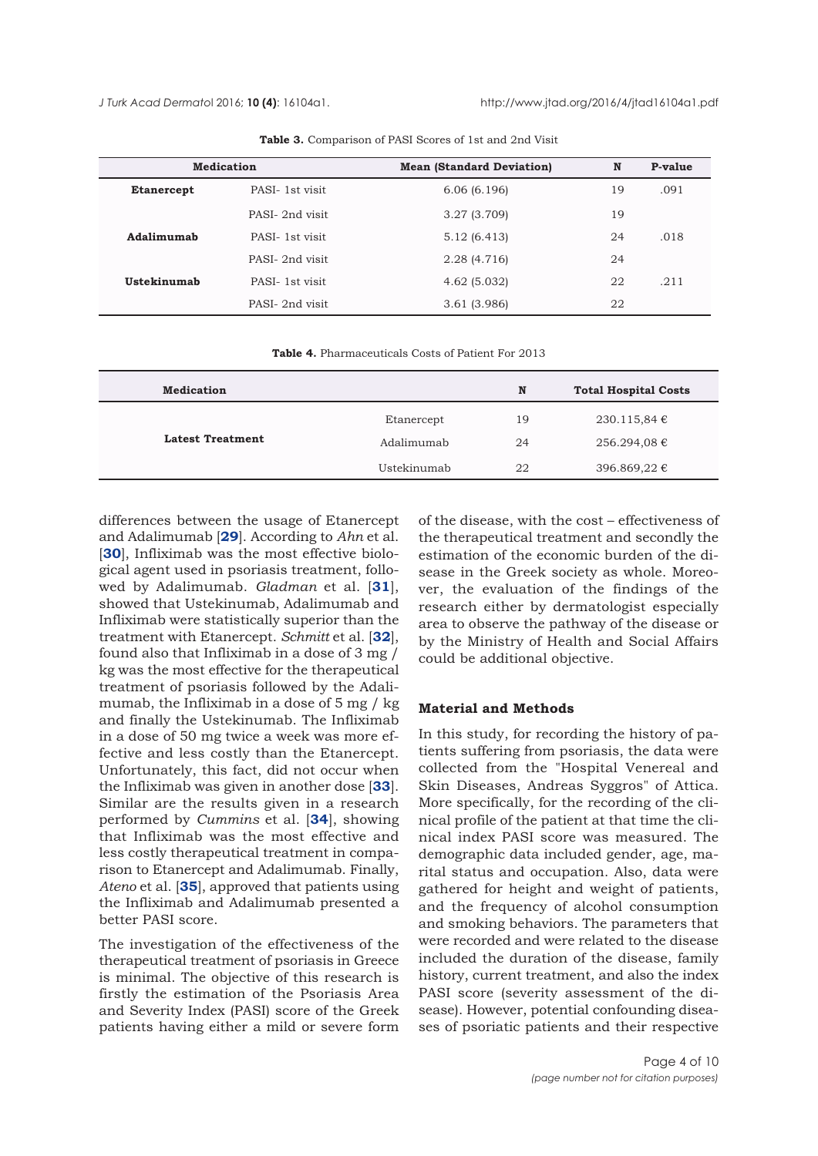<span id="page-3-0"></span>

|                   | <b>Medication</b> | <b>Mean (Standard Deviation)</b> | N  | P-value |
|-------------------|-------------------|----------------------------------|----|---------|
| <b>Etanercept</b> | PASI-1st visit    | 6.06(6.196)                      | 19 | .091    |
|                   | PASI-2nd visit    | 3.27(3.709)                      | 19 |         |
| Adalimumab        | PASI-1st visit    | 5.12 (6.413)                     | 24 | .018    |
|                   | PASI-2nd visit    | 2.28 (4.716)                     | 24 |         |
| Ustekinumab       | PASI-1st visit    | 4.62(5.032)                      | 22 | .211    |
|                   | PASI-2nd visit    | 3.61(3.986)                      | 22 |         |

**Table 3.** Comparison of PASI Scores of 1st and 2nd Visit

**Table 4.** Pharmaceuticals Costs of Patient For 2013

| <b>Medication</b>       |             | N  | <b>Total Hospital Costs</b> |
|-------------------------|-------------|----|-----------------------------|
| <b>Latest Treatment</b> | Etanercept  | 19 | 230.115,84 €                |
|                         | Adalimumab  | 24 | 256.294,08 €                |
|                         | Ustekinumab | 22 | 396.869,22 €                |

differences between the usage of Etanercept and Adalimumab [**[29](#page-9-0)**]. According to *Ahn* et al. [**[30](#page-9-0)**], Infliximab was the most effective biological agent used in psoriasis treatment, followed by Adalimumab. *Gladman* et al. [**[31](#page-9-0)**], showed that Ustekinumab, Adalimumab and Infliximab were statistically superior than the treatment with Etanercept. *Schmitt* et al. [**[32](#page-9-0)**], found also that Infliximab in a dose of 3 mg / kg was the most effective for the therapeutical treatment of psoriasis followed by the Adalimumab, the Infliximab in a dose of 5 mg / kg and finally the Ustekinumab. The Infliximab in a dose of 50 mg twice a week was more effective and less costly than the Etanercept. Unfortunately, this fact, did not occur when the Infliximab was given in another dose [**[33](#page-9-0)**]. Similar are the results given in a research performed by *Cummins* et al. [**[34](#page-9-0)**], showing that Infliximab was the most effective and less costly therapeutical treatment in comparison to Etanercept and Adalimumab. Finally, *Ateno* et al. [**[35](#page-9-0)**], approved that patients using the Infliximab and Adalimumab presented a better PASI score.

The investigation of the effectiveness of the therapeutical treatment of psoriasis in Greece is minimal. The objective of this research is firstly the estimation of the Psoriasis Area and Severity Index (PASI) score of the Greek patients having either a mild or severe form

of the disease, with the cost – effectiveness of the therapeutical treatment and secondly the estimation of the economic burden of the disease in the Greek society as whole. Moreover, the evaluation of the findings of the research either by dermatologist especially area to observe the pathway of the disease or by the Ministry of Health and Social Affairs could be additional objective.

#### **Material and Methods**

In this study, for recording the history of patients suffering from psoriasis, the data were collected from the "Hospital Venereal and Skin Diseases, Andreas Syggros" of Attica. More specifically, for the recording of the clinical profile of the patient at that time the clinical index PASI score was measured. The demographic data included gender, age, marital status and occupation. Also, data were gathered for height and weight of patients, and the frequency of alcohol consumption and smoking behaviors. The parameters that were recorded and were related to the disease included the duration of the disease, family history, current treatment, and also the index PASI score (severity assessment of the disease). However, potential confounding diseases of psoriatic patients and their respective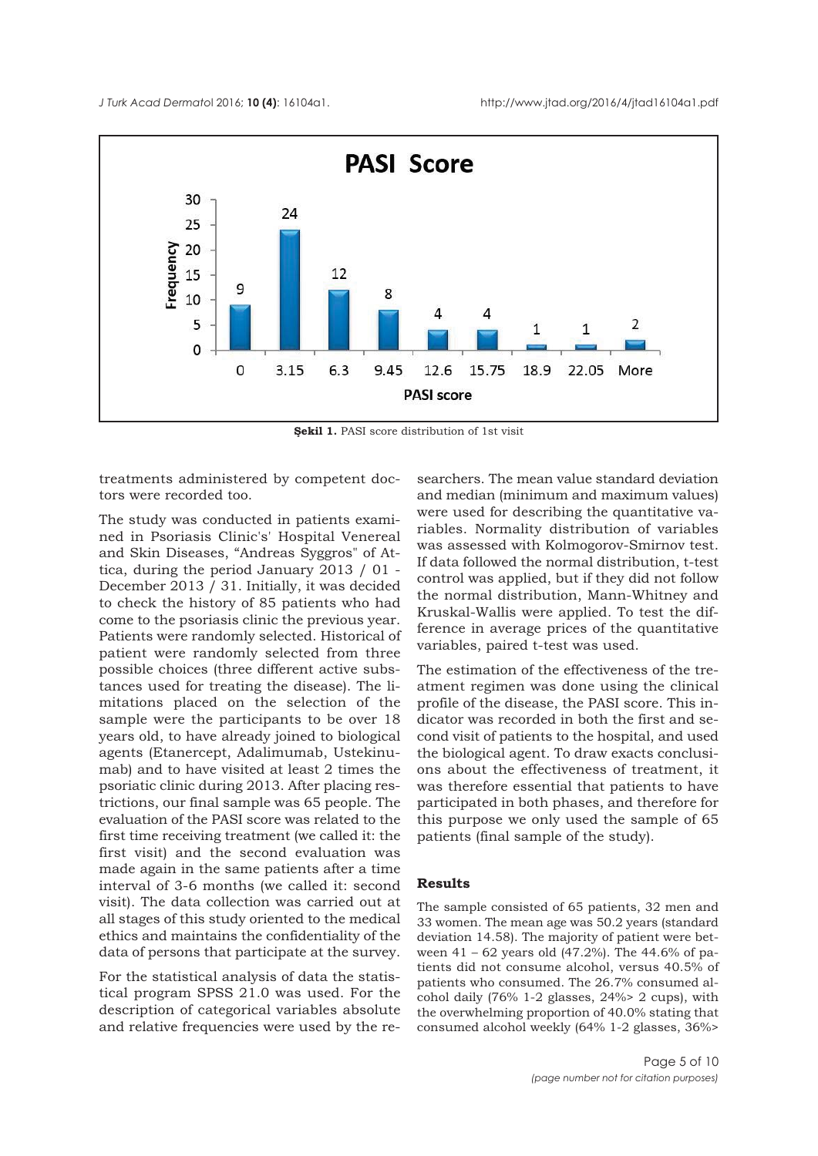<span id="page-4-0"></span>

**Şekil 1.** PASI score distribution of 1st visit

treatments administered by competent doctors were recorded too.

The study was conducted in patients examined in Psoriasis Clinic's' Hospital Venereal and Skin Diseases, "Andreas Syggros" of Attica, during the period January 2013 / 01 - December 2013 / 31. Initially, it was decided to check the history of 85 patients who had come to the psoriasis clinic the previous year. Patients were randomly selected. Historical of patient were randomly selected from three possible choices (three different active substances used for treating the disease). The limitations placed on the selection of the sample were the participants to be over 18 years old, to have already joined to biological agents (Etanercept, Adalimumab, Ustekinumab) and to have visited at least 2 times the psoriatic clinic during 2013. After placing restrictions, our final sample was 65 people. The evaluation of the PASI score was related to the first time receiving treatment (we called it: the first visit) and the second evaluation was made again in the same patients after a time interval of 3-6 months (we called it: second visit). The data collection was carried out at all stages of this study oriented to the medical ethics and maintains the confidentiality of the data of persons that participate at the survey.

For the statistical analysis of data the statistical program SPSS 21.0 was used. For the description of categorical variables absolute and relative frequencies were used by the researchers. The mean value standard deviation and median (minimum and maximum values) were used for describing the quantitative variables. Normality distribution of variables was assessed with Kolmogorov-Smirnov test. If data followed the normal distribution, t-test control was applied, but if they did not follow the normal distribution, Mann-Whitney and Kruskal-Wallis were applied. To test the difference in average prices of the quantitative variables, paired t-test was used.

The estimation of the effectiveness of the treatment regimen was done using the clinical profile of the disease, the PASI score. This indicator was recorded in both the first and second visit of patients to the hospital, and used the biological agent. To draw exacts conclusions about the effectiveness of treatment, it was therefore essential that patients to have participated in both phases, and therefore for this purpose we only used the sample of 65 patients (final sample of the study).

#### **Results**

The sample consisted of 65 patients, 32 men and 33 women. The mean age was 50.2 years (standard deviation 14.58). The majority of patient were between 41 – 62 years old (47.2%). The 44.6% of patients did not consume alcohol, versus 40.5% of patients who consumed. The 26.7% consumed alcohol daily (76% 1-2 glasses, 24%> 2 cups), with the overwhelming proportion of 40.0% stating that consumed alcohol weekly (64% 1-2 glasses, 36%>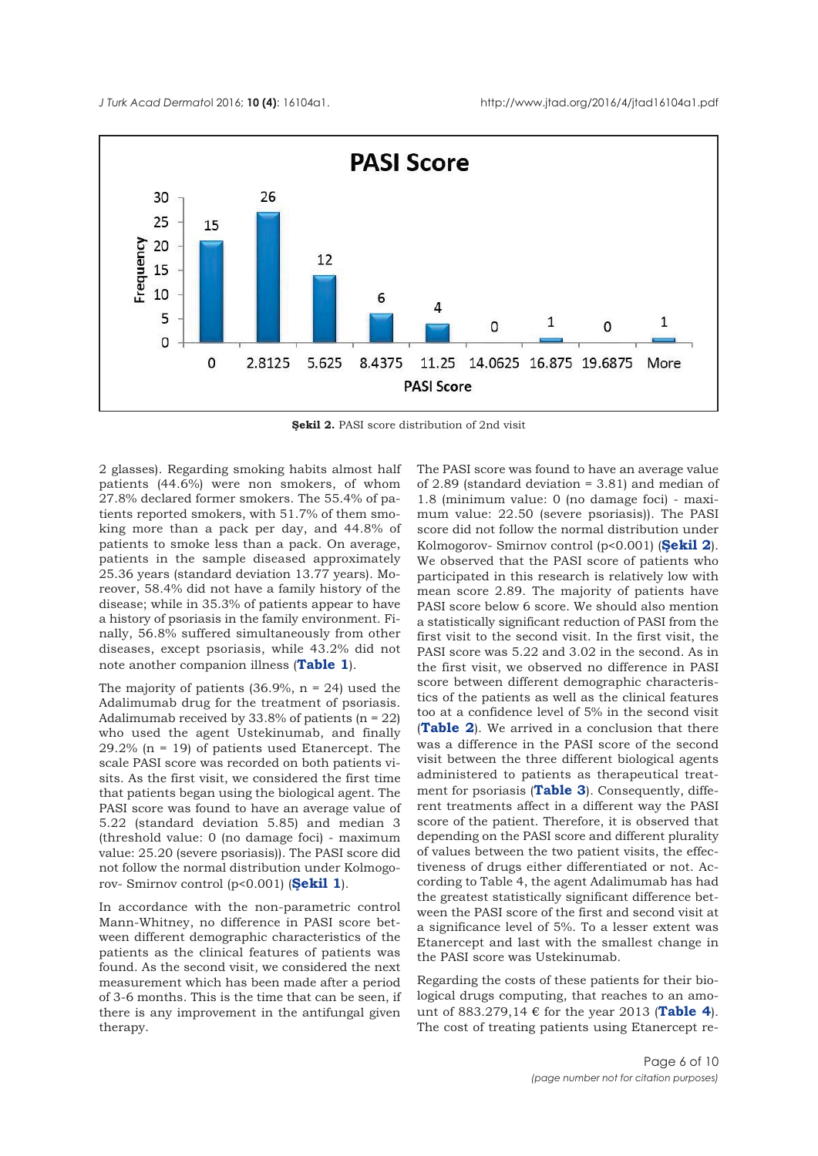

**Şekil 2.** PASI score distribution of 2nd visit

2 glasses). Regarding smoking habits almost half patients (44.6%) were non smokers, of whom 27.8% declared former smokers. The 55.4% of patients reported smokers, with 51.7% of them smoking more than a pack per day, and 44.8% of patients to smoke less than a pack. On average, patients in the sample diseased approximately 25.36 years (standard deviation 13.77 years). Moreover, 58.4% did not have a family history of the disease; while in 35.3% of patients appear to have a history of psoriasis in the family environment. Finally, 56.8% suffered simultaneously from other diseases, except psoriasis, while 43.2% did not note another companion illness (**[Table 1](#page-1-0)**).

The majority of patients  $(36.9\%, n = 24)$  used the Adalimumab drug for the treatment of psoriasis. Adalimumab received by 33.8% of patients  $(n = 22)$ who used the agent Ustekinumab, and finally 29.2% (n = 19) of patients used Etanercept. The scale PASI score was recorded on both patients visits. As the first visit, we considered the first time that patients began using the biological agent. The PASI score was found to have an average value of 5.22 (standard deviation 5.85) and median 3 (threshold value: 0 (no damage foci) - maximum value: 25.20 (severe psoriasis)). The PASI score did not follow the normal distribution under Kolmogorov- Smirnov control (p<0.001) (**[Şekil 1](#page-4-0)**).

In accordance with the non-parametric control Mann-Whitney, no difference in PASI score between different demographic characteristics of the patients as the clinical features of patients was found. As the second visit, we considered the next measurement which has been made after a period of 3-6 months. This is the time that can be seen, if there is any improvement in the antifungal given therapy.

The PASI score was found to have an average value of 2.89 (standard deviation = 3.81) and median of 1.8 (minimum value: 0 (no damage foci) - maximum value: 22.50 (severe psoriasis)). The PASI score did not follow the normal distribution under Kolmogorov- Smirnov control (p<0.001) (**Şekil 2**). We observed that the PASI score of patients who participated in this research is relatively low with mean score 2.89. The majority of patients have PASI score below 6 score. We should also mention a statistically significant reduction of PASI from the first visit to the second visit. In the first visit, the PASI score was 5.22 and 3.02 in the second. As in the first visit, we observed no difference in PASI score between different demographic characteristics of the patients as well as the clinical features too at a confidence level of 5% in the second visit (**[Table 2](#page-2-0)**). We arrived in a conclusion that there was a difference in the PASI score of the second visit between the three different biological agents administered to patients as therapeutical treatment for psoriasis (**[Table 3](#page-3-0)**). Consequently, different treatments affect in a different way the PASI score of the patient. Therefore, it is observed that depending on the PASI score and different plurality of values between the two patient visits, the effectiveness of drugs either differentiated or not. According to Table 4, the agent Adalimumab has had the greatest statistically significant difference between the PASI score of the first and second visit at a significance level of 5%. To a lesser extent was Etanercept and last with the smallest change in the PASI score was Ustekinumab.

Regarding the costs of these patients for their biological drugs computing, that reaches to an amount of 883.279,14 € for the year 2013 (**[Table 4](#page-3-0)**). The cost of treating patients using Etanercept re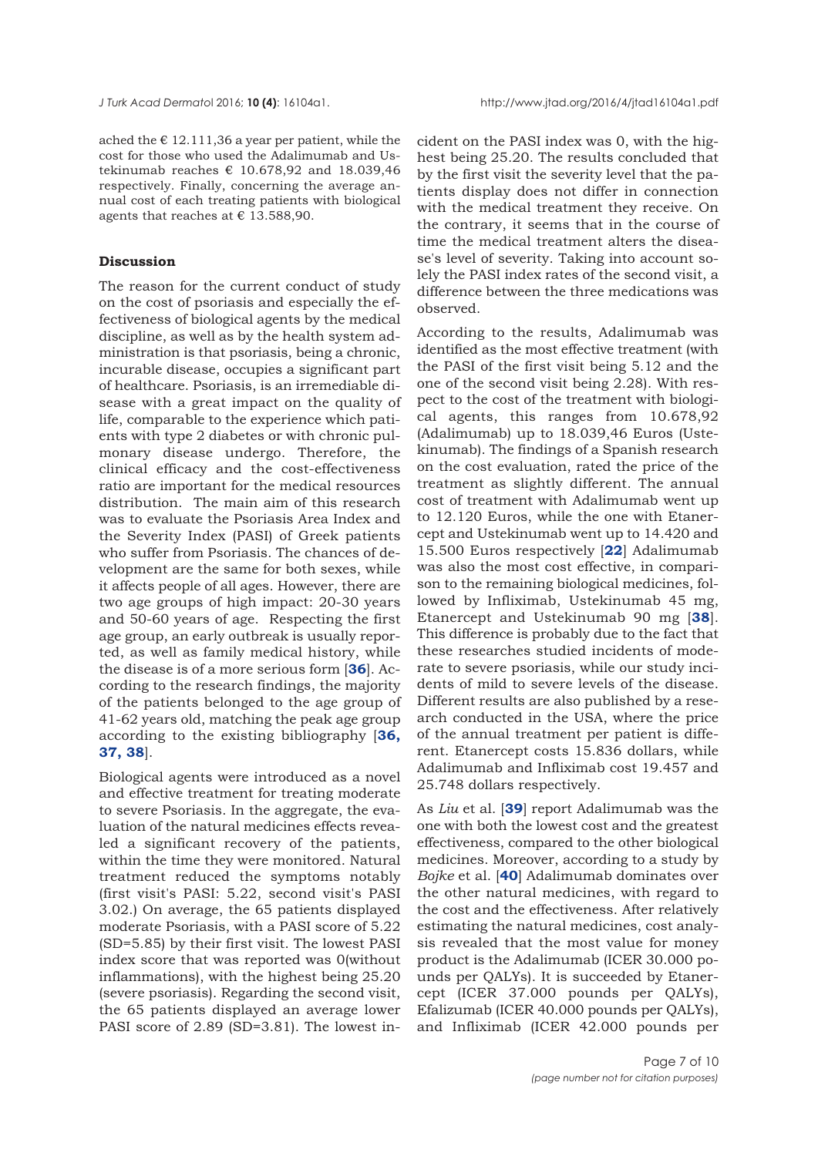ached the  $\epsilon$  12.111,36 a year per patient, while the cost for those who used the Adalimumab and Ustekinumab reaches  $\epsilon$  10.678,92 and 18.039,46 respectively. Finally, concerning the average annual cost of each treating patients with biological agents that reaches at  $\epsilon$  13.588,90.

## **Discussion**

The reason for the current conduct of study on the cost of psoriasis and especially the effectiveness of biological agents by the medical discipline, as well as by the health system administration is that psoriasis, being a chronic, incurable disease, occupies a significant part of healthcare. Psoriasis, is an irremediable disease with a great impact on the quality of life, comparable to the experience which patients with type 2 diabetes or with chronic pulmonary disease undergo. Therefore, the clinical efficacy and the cost-effectiveness ratio are important for the medical resources distribution. The main aim of this research was to evaluate the Psoriasis Area Index and the Severity Index (PASI) of Greek patients who suffer from Psoriasis. The chances of development are the same for both sexes, while it affects people of all ages. However, there are two age groups of high impact: 20-30 years and 50-60 years of age. Respecting the first age group, an early outbreak is usually reported, as well as family medical history, while the disease is of a more serious form [**[36](#page-9-0)**]. According to the research findings, the majority of the patients belonged to the age group of 41-62 years old, matching the peak age group according to the existing bibliography [**[36,](#page-9-0) [37, 38](#page-9-0)**].

Biological agents were introduced as a novel and effective treatment for treating moderate to severe Psoriasis. In the aggregate, the evaluation of the natural medicines effects revealed a significant recovery of the patients, within the time they were monitored. Natural treatment reduced the symptoms notably (first visit's PASI: 5.22, second visit's PASI 3.02.) On average, the 65 patients displayed moderate Psoriasis, with a PASI score of 5.22 (SD=5.85) by their first visit. The lowest PASI index score that was reported was 0(without inflammations), with the highest being 25.20 (severe psoriasis). Regarding the second visit, the 65 patients displayed an average lower PASI score of 2.89 (SD=3.81). The lowest incident on the PASI index was 0, with the highest being 25.20. The results concluded that by the first visit the severity level that the patients display does not differ in connection with the medical treatment they receive. On the contrary, it seems that in the course of time the medical treatment alters the disease's level of severity. Taking into account solely the PASI index rates of the second visit, a difference between the three medications was observed.

According to the results, Adalimumab was identified as the most effective treatment (with the PASI of the first visit being 5.12 and the one of the second visit being 2.28). With respect to the cost of the treatment with biological agents, this ranges from 10.678,92 (Adalimumab) up to 18.039,46 Euros (Ustekinumab). The findings of a Spanish research on the cost evaluation, rated the price of the treatment as slightly different. The annual cost of treatment with Adalimumab went up to 12.120 Euros, while the one with Etanercept and Ustekinumab went up to 14.420 and 15.500 Euros respectively [**[22](#page-8-0)**] Adalimumab was also the most cost effective, in comparison to the remaining biological medicines, followed by Infliximab, Ustekinumab 45 mg, Etanercept and Ustekinumab 90 mg [**[38](#page-9-0)**]. This difference is probably due to the fact that these researches studied incidents of moderate to severe psoriasis, while our study incidents of mild to severe levels of the disease. Different results are also published by a research conducted in the USA, where the price of the annual treatment per patient is different. Etanercept costs 15.836 dollars, while Adalimumab and Infliximab cost 19.457 and 25.748 dollars respectively.

As *Liu* et al. [**[39](#page-9-0)**] report Adalimumab was the one with both the lowest cost and the greatest effectiveness, compared to the other biological medicines. Moreover, according to a study by *Bojke* et al. [**[40](#page-9-0)**] Adalimumab dominates over the other natural medicines, with regard to the cost and the effectiveness. After relatively estimating the natural medicines, cost analysis revealed that the most value for money product is the Adalimumab (ICER 30.000 pounds per QALYs). It is succeeded by Etanercept (ICER 37.000 pounds per QALYs), Efalizumab (ICER 40.000 pounds per QALYs), and Infliximab (ICER 42.000 pounds per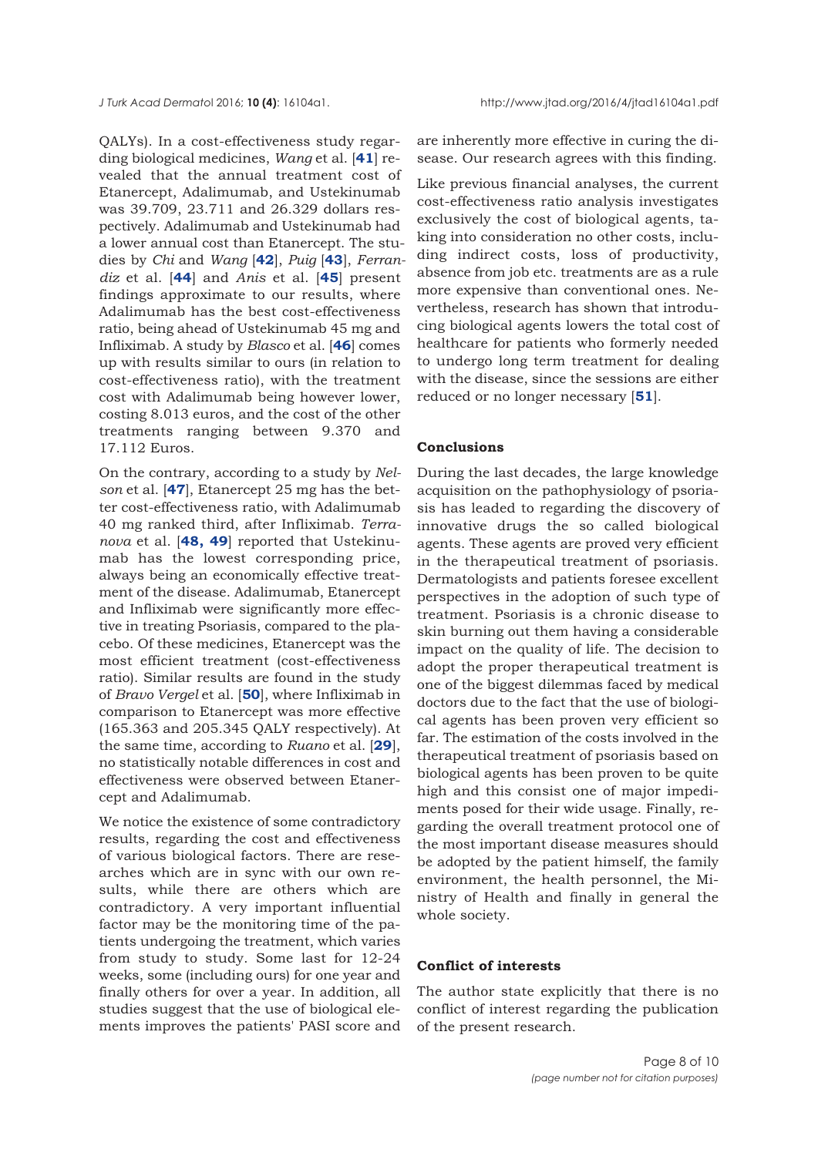QALYs). In a cost-effectiveness study regarding biological medicines, *Wang* et al. [**[41](#page-9-0)**] revealed that the annual treatment cost of Etanercept, Adalimumab, and Ustekinumab was 39.709, 23.711 and 26.329 dollars respectively. Adalimumab and Ustekinumab had a lower annual cost than Etanercept. The studies by *Chi* and *Wang* [**[42](#page-9-0)**], *Puig* [**[43](#page-9-0)**], *Ferrandiz* et al. [**[44](#page-9-0)**] and *Anis* et al. [**[45](#page-9-0)**] present findings approximate to our results, where Adalimumab has the best cost-effectiveness ratio, being ahead of Ustekinumab 45 mg and Infliximab. A study by *Blasco* et al. [**[46](#page-9-0)**] comes up with results similar to ours (in relation to cost-effectiveness ratio), with the treatment cost with Adalimumab being however lower, costing 8.013 euros, and the cost of the other treatments ranging between 9.370 and 17.112 Euros.

On the contrary, according to a study by *Nelson* et al. [**[47](#page-9-0)**], Etanercept 25 mg has the better cost-effectiveness ratio, with Adalimumab 40 mg ranked third, after Infliximab. *Terranova* et al. [**[48,](#page-9-0) [49](#page-9-0)**] reported that Ustekinumab has the lowest corresponding price, always being an economically effective treatment of the disease. Adalimumab, Etanercept and Infliximab were significantly more effective in treating Psoriasis, compared to the placebo. Of these medicines, Etanercept was the most efficient treatment (cost-effectiveness ratio). Similar results are found in the study of *Bravo Vergel* et al. [**[50](#page-9-0)**], where Infliximab in comparison to Etanercept was more effective (165.363 and 205.345 QALY respectively). At the same time, according to *Ruano* et al. [**[29](#page-8-0)**], no statistically notable differences in cost and effectiveness were observed between Etanercept and Adalimumab.

We notice the existence of some contradictory results, regarding the cost and effectiveness of various biological factors. There are researches which are in sync with our own results, while there are others which are contradictory. A very important influential factor may be the monitoring time of the patients undergoing the treatment, which varies from study to study. Some last for 12-24 weeks, some (including ours) for one year and finally others for over a year. In addition, all studies suggest that the use of biological elements improves the patients' PASI score and

are inherently more effective in curing the disease. Our research agrees with this finding.

Like previous financial analyses, the current cost-effectiveness ratio analysis investigates exclusively the cost of biological agents, taking into consideration no other costs, including indirect costs, loss of productivity, absence from job etc. treatments are as a rule more expensive than conventional ones. Nevertheless, research has shown that introducing biological agents lowers the total cost of healthcare for patients who formerly needed to undergo long term treatment for dealing with the disease, since the sessions are either reduced or no longer necessary [**[51](#page-9-0)**].

#### **Conclusions**

During the last decades, the large knowledge acquisition on the pathophysiology of psoriasis has leaded to regarding the discovery of innovative drugs the so called biological agents. These agents are proved very efficient in the therapeutical treatment of psoriasis. Dermatologists and patients foresee excellent perspectives in the adoption of such type of treatment. Psoriasis is a chronic disease to skin burning out them having a considerable impact on the quality of life. The decision to adopt the proper therapeutical treatment is one of the biggest dilemmas faced by medical doctors due to the fact that the use of biological agents has been proven very efficient so far. The estimation of the costs involved in the therapeutical treatment of psoriasis based on biological agents has been proven to be quite high and this consist one of major impediments posed for their wide usage. Finally, regarding the overall treatment protocol one of the most important disease measures should be adopted by the patient himself, the family environment, the health personnel, the Ministry of Health and finally in general the whole society.

## **Conflict of interests**

The author state explicitly that there is no conflict of interest regarding the publication of the present research.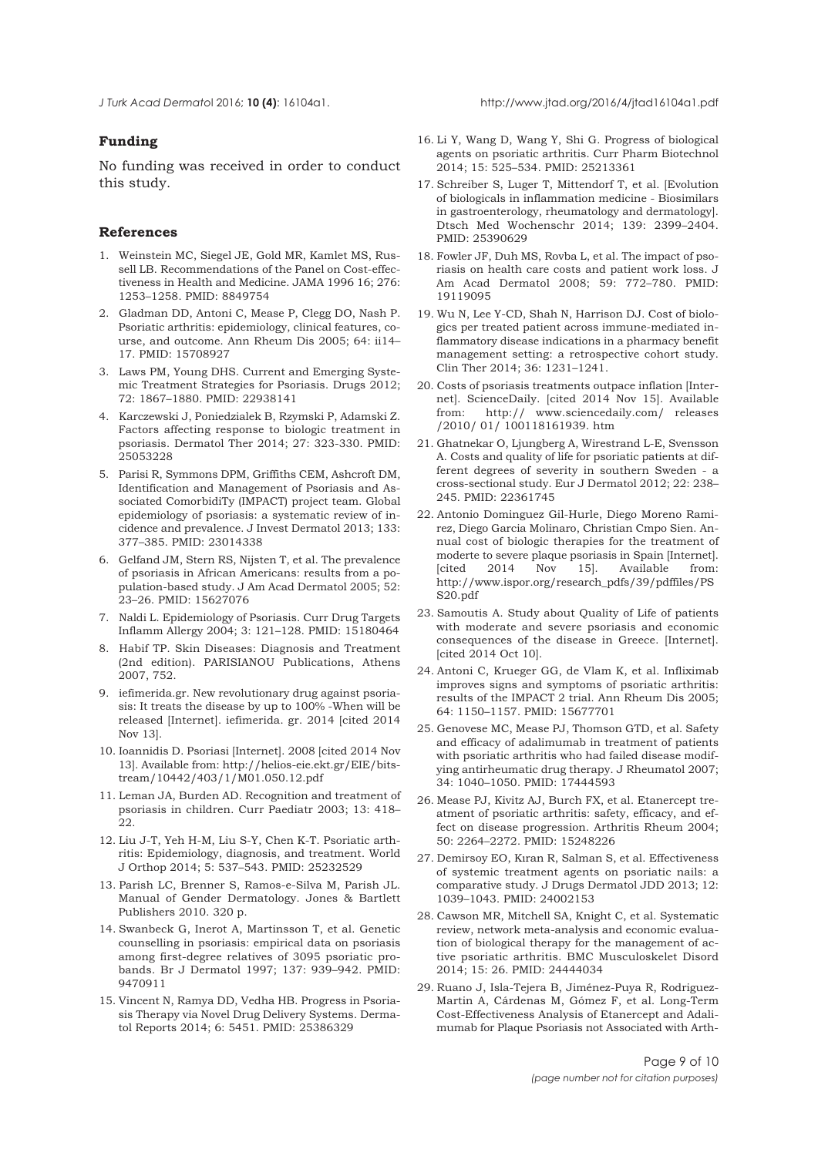<span id="page-8-0"></span>

# **Funding**

No funding was received in order to conduct this study.

## **References**

- 1. Weinstein MC, Siegel JE, Gold MR, Kamlet MS, Russell LB. Recommendations of the Panel on Cost-effectiveness in Health and Medicine. JAMA 1996 16; 276: 1253–1258. PMID: 8849754
- 2. Gladman DD, Antoni C, Mease P, Clegg DO, Nash P. Psoriatic arthritis: epidemiology, clinical features, course, and outcome. Ann Rheum Dis 2005; 64: ii14– 17. PMID: 15708927
- 3. Laws PM, Young DHS. Current and Emerging Systemic Treatment Strategies for Psoriasis. Drugs 2012; 72: 1867–1880. PMID: 22938141
- 4. Karczewski J, Poniedzialek B, Rzymski P, Adamski Z. Factors affecting response to biologic treatment in psoriasis. Dermatol Ther 2014; 27: 323-330. PMID: 25053228
- 5. Parisi R, Symmons DPM, Griffiths CEM, Ashcroft DM, Identification and Management of Psoriasis and Associated ComorbidiTy (IMPACT) project team. Global epidemiology of psoriasis: a systematic review of incidence and prevalence. J Invest Dermatol 2013; 133: 377–385. PMID: 23014338
- 6. Gelfand JM, Stern RS, Nijsten T, et al. The prevalence of psoriasis in African Americans: results from a population-based study. J Am Acad Dermatol 2005; 52: 23–26. PMID: 15627076
- 7. Naldi L. Epidemiology of Psoriasis. Curr Drug Targets Inflamm Allergy 2004; 3: 121–128. PMID: 15180464
- 8. Habif TP. Skin Diseases: Diagnosis and Treatment (2nd edition). PARISIANOU Publications, Athens 2007, 752.
- 9. iefimerida.gr. New revolutionary drug against psoriasis: It treats the disease by up to 100% -When will be released [Internet]. iefimerida. gr. 2014 [cited 2014 Nov 13].
- 10. Ioannidis D. Psoriasi [Internet]. 2008 [cited 2014 Nov 13]. Available from: http://helios-eie.ekt.gr/EIE/bitstream/10442/403/1/M01.050.12.pdf
- 11. Leman JA, Burden AD. Recognition and treatment of psoriasis in children. Curr Paediatr 2003; 13: 418– 22.
- 12. Liu J-T, Yeh H-M, Liu S-Y, Chen K-T. Psoriatic arthritis: Epidemiology, diagnosis, and treatment. World J Orthop 2014; 5: 537–543. PMID: 25232529
- 13. Parish LC, Brenner S, Ramos-e-Silva M, Parish JL. Manual of Gender Dermatology. Jones & Bartlett Publishers 2010. 320 p.
- 14. Swanbeck G, Inerot A, Martinsson T, et al. Genetic counselling in psoriasis: empirical data on psoriasis among first-degree relatives of 3095 psoriatic probands. Br J Dermatol 1997; 137: 939–942. PMID: 9470911
- 15. Vincent N, Ramya DD, Vedha HB. Progress in Psoriasis Therapy via Novel Drug Delivery Systems. Dermatol Reports 2014; 6: 5451. PMID: 25386329
- 16. Li Y, Wang D, Wang Y, Shi G. Progress of biological agents on psoriatic arthritis. Curr Pharm Biotechnol 2014; 15: 525–534. PMID: 25213361
- 17. Schreiber S, Luger T, Mittendorf T, et al. [Evolution of biologicals in inflammation medicine - Biosimilars in gastroenterology, rheumatology and dermatology]. Dtsch Med Wochenschr 2014; 139: 2399–2404. PMID: 25390629
- 18. Fowler JF, Duh MS, Rovba L, et al. The impact of psoriasis on health care costs and patient work loss. J Am Acad Dermatol 2008; 59: 772–780. PMID: 19119095
- 19. Wu N, Lee Y-CD, Shah N, Harrison DJ. Cost of biologics per treated patient across immune-mediated inflammatory disease indications in a pharmacy benefit management setting: a retrospective cohort study. Clin Ther 2014; 36: 1231–1241.
- 20. Costs of psoriasis treatments outpace inflation [Internet]. ScienceDaily. [cited 2014 Nov 15]. Available from: http:// www.sciencedaily.com/ releases /2010/ 01/ 100118161939. htm
- 21. Ghatnekar O, Ljungberg A, Wirestrand L-E, Svensson A. Costs and quality of life for psoriatic patients at different degrees of severity in southern Sweden - a cross-sectional study. Eur J Dermatol 2012; 22: 238– 245. PMID: 22361745
- 22. Antonio Dominguez Gil-Hurle, Diego Moreno Ramirez, Diego Garcia Molinaro, Christian Cmpo Sien. Annual cost of biologic therapies for the treatment of moderte to severe plaque psoriasis in Spain [Internet]. [cited 2014 Nov 15]. Available from: http://www.ispor.org/research\_pdfs/39/pdffiles/PS S20.pdf
- 23. Samoutis A. Study about Quality of Life of patients with moderate and severe psoriasis and economic consequences of the disease in Greece. [Internet]. [cited 2014 Oct 10].
- 24. Antoni C, Krueger GG, de Vlam K, et al. Infliximab improves signs and symptoms of psoriatic arthritis: results of the IMPACT 2 trial. Ann Rheum Dis 2005; 64: 1150–1157. PMID: 15677701
- 25. Genovese MC, Mease PJ, Thomson GTD, et al. Safety and efficacy of adalimumab in treatment of patients with psoriatic arthritis who had failed disease modifying antirheumatic drug therapy. J Rheumatol 2007; 34: 1040–1050. PMID: 17444593
- 26. Mease PJ, Kivitz AJ, Burch FX, et al. Etanercept treatment of psoriatic arthritis: safety, efficacy, and effect on disease progression. Arthritis Rheum 2004; 50: 2264–2272. PMID: 15248226
- 27. Demirsoy EO, Kıran R, Salman S, et al. Effectiveness of systemic treatment agents on psoriatic nails: a comparative study. J Drugs Dermatol JDD 2013; 12: 1039–1043. PMID: 24002153
- 28. Cawson MR, Mitchell SA, Knight C, et al. Systematic review, network meta-analysis and economic evaluation of biological therapy for the management of active psoriatic arthritis. BMC Musculoskelet Disord 2014; 15: 26. PMID: 24444034
- 29. Ruano J, Isla-Tejera B, Jiménez-Puya R, Rodriguez-Martin A, Cárdenas M, Gómez F, et al. Long-Term Cost-Effectiveness Analysis of Etanercept and Adalimumab for Plaque Psoriasis not Associated with Arth-